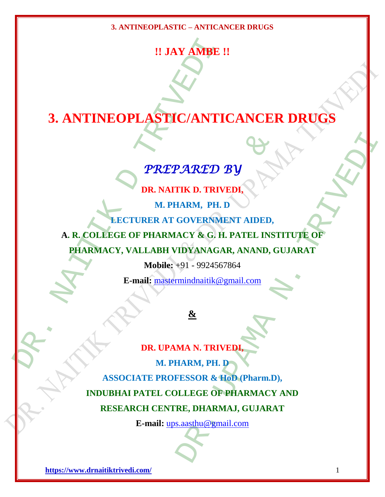# **!! JAY AMBE !!**

# **3. ANTINEOPLASTIC/ANTICANCER DRUGS**

# *PREPARED BY*

**DR. NAITIK D. TRIVEDI,**

**M. PHARM, PH. D**

**LECTURER AT GOVERNMENT AIDED,**

**A. R. COLLEGE OF PHARMACY & G. H. PATEL INSTITUTE OF** 

**PHARMACY, VALLABH VIDYANAGAR, ANAND, GUJARAT**

**Mobile:** +91 - 9924567864

**E-mail:** [mastermindnaitik@gmail.com](mailto:mastermindnaitik@gmail.com)

### **&**

**E-mail:** mastermindnatik et al. (2)<br>
DR. UPAMA N. TRIV<br>
DR. UPAMA N. TRIV<br>
DR. NAITIK D. TRIV<br>
DR. NAITIK D. TRIV<br>
M. PHARM, PH. 1<br>
A. R. COLLEGE OF PHARMACY & G. H.<br>
PHARMACY, VALLABH VIDYANAGA<br>
Mobile: +91 - 9924567<br>
E **PREPARED BY<br>
PREPARED BY<br>
DR. NAITIK D. TRIVEDI,<br>
M. PHARM, PH. D<br>
EGTURER AT GOVERNMENT AIDED,<br>
EGE OF PHARMACY & G. H. PATEL INST<br>
CY, VALLABH VIDYANAGAR, ANAND, G<br>
Mobile: +91 - 9924567864<br>
E-mail: mastermindnaitik@gma** PARED BY<br>
THE D. TRIVEDI,<br>
IARM, PH. D<br>
GOVERNMENT AIDED,<br>
ACY & G. H. PATEL INSTITUTE OF<br>
IDYANAGAR, ANAND, GUJARAT<br>
+91 - 9924567864<br>
mindmattik@gmail.com<br>
ARM, PH. D<br>
FESSOR & HOD.(Pharm.D),<br>
LLEGE OF PHARMAJ, GUJARAT<br> **DR. UPAMA N. TRIVEDI, M. PHARM, PH. D ASSOCIATE PROFESSOR & HoD (Pharm.D), INDUBHAI PATEL COLLEGE OF PHARMACY AND RESEARCH CENTRE, DHARMAJ, GUJARAT**

**E-mail:** [ups.aasthu@gmail.com](mailto:ups.aasthu@gmail.com)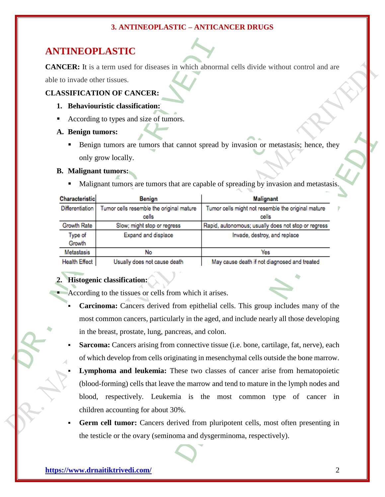#### **ANTINEOPLASTIC**

#### **CLASSIFICATION OF CANCER:**

- **1. Behaviouristic classification:**
- According to types and size of tumors.
- **A. Benign tumors:**
	- Benign tumors are tumors that cannot spread by invasion or metastasis; hence, they only grow locally.

#### **B. Malignant tumors:**

| <b>ANTINEOPLASTIC</b>                                                                                                                                                       |                                                         |                                                                                                      |  |
|-----------------------------------------------------------------------------------------------------------------------------------------------------------------------------|---------------------------------------------------------|------------------------------------------------------------------------------------------------------|--|
|                                                                                                                                                                             |                                                         | <b>CANCER:</b> It is a term used for diseases in which abnormal cells divide without control and are |  |
|                                                                                                                                                                             | able to invade other tissues.                           |                                                                                                      |  |
|                                                                                                                                                                             | <b>CLASSIFICATION OF CANCER:</b>                        |                                                                                                      |  |
|                                                                                                                                                                             | 1. Behaviouristic classification:                       |                                                                                                      |  |
|                                                                                                                                                                             | According to types and size of tumors.                  |                                                                                                      |  |
|                                                                                                                                                                             | A. Benign tumors:                                       |                                                                                                      |  |
|                                                                                                                                                                             |                                                         | Benign tumors are tumors that cannot spread by invasion or metastasis; hence, they                   |  |
|                                                                                                                                                                             | only grow locally.                                      |                                                                                                      |  |
|                                                                                                                                                                             | <b>B.</b> Malignant tumors:                             |                                                                                                      |  |
|                                                                                                                                                                             |                                                         | Malignant tumors are tumors that are capable of spreading by invasion and metastasis.                |  |
|                                                                                                                                                                             |                                                         |                                                                                                      |  |
| Characteristic<br>Differentiation                                                                                                                                           | Benign                                                  | <b>Malignant</b>                                                                                     |  |
|                                                                                                                                                                             | Tumor cells resemble the original mature<br>cells       | Tumor cells might not resemble the original mature<br>cells                                          |  |
| Growth Rate                                                                                                                                                                 | Slow; might stop or regress                             | Rapid, autonomous; usually does not stop or regress                                                  |  |
| Type of<br>Growth                                                                                                                                                           | Expand and displace                                     | Invade, destroy, and replace                                                                         |  |
| Metastasis                                                                                                                                                                  | No                                                      | Yes                                                                                                  |  |
| <b>Health Effect</b>                                                                                                                                                        | Usually does not cause death                            | May cause death if not diagnosed and treated                                                         |  |
|                                                                                                                                                                             | Histogenic classification:                              |                                                                                                      |  |
|                                                                                                                                                                             | According to the tissues or cells from which it arises. |                                                                                                      |  |
| Carcinoma: Cancers derived from epithelial cells. This group includes many of the<br>most common cancers, particularly in the aged, and include nearly all those developing |                                                         |                                                                                                      |  |
| in the breast, prostate, lung, pancreas, and colon.                                                                                                                         |                                                         |                                                                                                      |  |
|                                                                                                                                                                             |                                                         |                                                                                                      |  |
| Sarcoma: Cancers arising from connective tissue (i.e. bone, cartilage, fat, nerve), each                                                                                    |                                                         |                                                                                                      |  |
| of which develop from cells originating in mesenchymal cells outside the bone marrow.                                                                                       |                                                         |                                                                                                      |  |
| Lymphoma and leukemia: These two classes of cancer arise from hematopoietic                                                                                                 |                                                         |                                                                                                      |  |
| (blood-forming) cells that leave the marrow and tend to mature in the lymph nodes and                                                                                       |                                                         |                                                                                                      |  |
| blood, respectively. Leukemia is the most common type of cancer in                                                                                                          |                                                         |                                                                                                      |  |
| children accounting for about 30%.                                                                                                                                          |                                                         |                                                                                                      |  |
| Germ cell tumor: Cancers derived from pluripotent cells, most often presenting in                                                                                           |                                                         |                                                                                                      |  |
| the testicle or the ovary (seminoma and dysgerminoma, respectively).                                                                                                        |                                                         |                                                                                                      |  |
|                                                                                                                                                                             |                                                         |                                                                                                      |  |

#### **2. Histogenic classification:**

- **Carcinoma:** Cancers derived from epithelial cells. This group includes many of the most common cancers, particularly in the aged, and include nearly all those developing in the breast, prostate, lung, pancreas, and colon.
- **Sarcoma:** Cancers arising from connective tissue (i.e. bone, cartilage, fat, nerve), each of which develop from cells originating in mesenchymal cells outside the bone marrow.
- **Lymphoma and leukemia:** These two classes of cancer arise from hematopoietic (blood-forming) cells that leave the marrow and tend to mature in the lymph nodes and blood, respectively. Leukemia is the most common type of cancer in children accounting for about 30%.
- **Germ cell tumor:** Cancers derived from pluripotent cells, most often presenting in the testicle or the ovary (seminoma and dysgerminoma, respectively).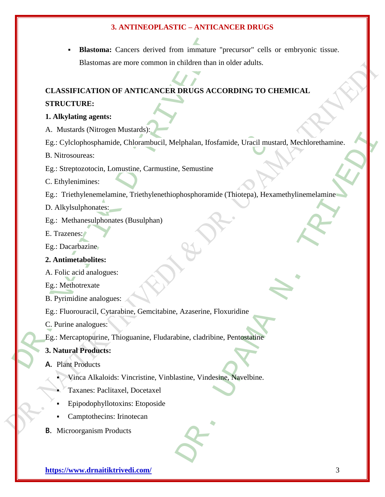Blastoma: Cancers derived from immature "p<br>Blastomas are more common in children than in<br>CLASSIFICATION OF ANTICANCER DRUGS ACCC<br>STRUCTURE:<br>1. Alkylating agents:<br>A. Mustards (Nitrogen Mustards):<br>Eg.: Cylclophosphamide, Chl **Blastoma:** Cancers derived from immature "precursor" cells or embryonic tissue. Blastomas are more common in children than in older adults.

## **CLASSIFICATION OF ANTICANCER DRUGS ACCORDING TO CHEMICAL**

#### **STRUCTURE:**

#### **1. Alkylating agents:**

A. Mustards (Nitrogen Mustards):

ide, Chlorambucil, Melphalan, Ifosfamide, Uracil musta<br>
.omustine, Carmustine, Semustine<br>
.omustine, Triethylenethiophosphoramide (Thiotepa), Hexan<br>
rates (Busulphan)<br>
es:<br>
.es:<br>
.es:<br>
.es:<br>
.es:<br>
.es:<br>
.es:<br>
.es:<br>
.es:<br>
. Elphalan, Ifosfamide, Uracil mustard, Mechlorethamine. Eg.: Cylclophosphamide, Chlorambucil, Melphalan, Ifosfamide, Uracil mustard, Mechlorethamine.

B. Nitrosoureas:

Eg.: Streptozotocin, Lomustine, Carmustine, Semustine

C. Ethylenimines:

Eg.: Triethylenemelamine, Triethylenethiophosphoramide (Thiotepa), Hexamethylinemelamine

D. Alkylsulphonates:

Eg.: Methanesulphonates (Busulphan)

E. Trazenes:

Eg.: Dacarbazine

#### **2. Antimetabolites:**

A. Folic acid analogues:

Eg.: Methotrexate

B. Pyrimidine analogues:

Eg.: Fluorouracil, Cytarabine, Gemcitabine, Azaserine, Floxuridine

C. Purine analogues:

Eg.: Mercaptopurine, Thioguanine, Fludarabine, cladribine, Pentostatine

#### **3. Natural Products:**

#### **A.** Plant Products

- Vinca Alkaloids: Vincristine, Vinblastine, Vindesine, Navelbine.
- Taxanes: Paclitaxel, Docetaxel
- Epipodophyllotoxins: Etoposide
- Camptothecins: Irinotecan
- **B.** Microorganism Products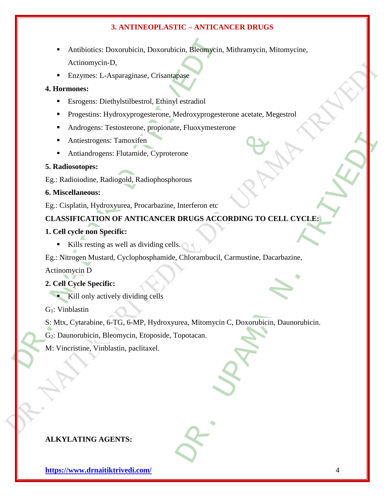- Antibiotics: Doxorubicin, Doxorubicin, Bleomycin, Actionomycin-D,<br>
Actionomycin-D,<br>
Enzymes: L-Asparaginase, Crisantapase<br>
4. Hormones:<br>
Esrogens: Diethylstilbestrol, Ethinyl estradiol<br>
 Progestins: Hydroxyprogesterone, M Antibiotics: Doxorubicin, Doxorubicin, Bleomycin, Mithramycin, Mitomycine, Actinomycin-D,
	- Enzymes: L-Asparaginase, Crisantapase

#### **4. Hormones:**

- Esrogens: Diethylstilbestrol, Ethinyl estradiol
- Progestins: Hydroxyprogesterone, Medroxyprogesterone acetate, Megestrol
- Androgens: Testosterone, propionate, Fluoxymesterone
- Antiestrogens: Tamoxifen
- Antiandrogens: Flutamide, Cyproterone

#### **5. Radiosotopes:**

Eg.: Radioiodine, Radiogold, Radiophosphorous

#### **6. Miscellaneous:**

Eg.: Cisplatin, Hydroxyurea, Procarbazine, Interferon etc

# : Tamoxifen<br>
S: Flutamide, Cyproterone<br>
Eliogold, Radiophosphorous<br>
Eliogold, Radiophosphorous<br>
Eliogold, Radiophosphorous<br>
System of Control Control Control Control Control Control Control Control Control Control Control From etc.<br>
Interferon etc.<br>
DRUGS ACCORDING TO CELL CYCLE:<br>
SCHOTAINDUCH, Carmustine, Dacarbazine,<br>
Chlorambuch, Carmustine, Dacarbazine,<br>
Tripotacan.<br>
Topotacan.<br>
Christian.<br>
Composition. **CLASSIFICATION OF ANTICANCER DRUGS ACCORDING TO CELL CYCLE:**

#### **1. Cell cycle non Specific:**

Kills resting as well as dividing cells.  $\bigcap$ 

Eg.: Nitrogen Mustard, Cyclophosphamide, Chlorambucil, Carmustine, Dacarbazine,

Actinomycin D

- **2. Cell Cycle Specific:**
	- Kill only actively dividing cells

G1: Vinblastin

S: Mtx, Cytarabine, 6-TG, 6-MP, Hydroxyurea, Mitomycin C, Doxorubicin, Daunorubicin.

G2: Daunorubicin, Bleomycin, Etoposide, Topotacan.

M: Vincristine, Vinblastin, paclitaxel.

#### **ALKYLATING AGENTS:**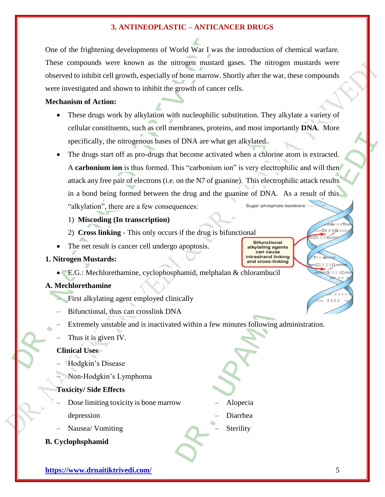One of the frightening developments of World War I was the introduction of chemical warfare. These compounds were known as the nitrogen mustard gases. The nitrogen mustards were observed to inhibit cell growth, especially of bone marrow. Shortly after the war, these compounds were investigated and shown to inhibit the growth of cancer cells.

#### **Mechanism of Action:**

- These drugs work by alkylation with nucleophilic substitution. They alkylate a variety of cellular constituents, such as cell membranes, proteins, and most importantly **DNA**. More specifically, the nitrogenous bases of DNA are what get alkylated.
- One of the frightening developments of World War I was<br>
These compounds were known as the nitrogen mustard<br>
observed to inhibit cell growth, especially of bone marrow. S<br>
were investigated and shown to inhibit the growth o the nitrogenous bases of DNA are what get alkylated.<br>
The nitrogenous bases of DNA are what get alkylated.<br>
The nitrogenous field the second and the number of solar pair of electrons (i.e. on the N7 of guanine). This elect f DNA are what get alkylated.<br>
become activated when a chlorine atom is extracted.<br>
his "carbonium ion" is very electrophilic and will then the N7 of guanine). This electrophilic attack results<br>
on the N7 of guanine, This The drugs start off as pro-drugs that become activated when a chlorine atom is extracted. A **carbonium ion** is thus formed. This "carbonium ion" is very electrophilic and will then attack any free pair of electrons (i.e. on the N7 of guanine). This electrophilic attack results in a bond being formed between the drug and the guanine of DNA. As a result of this "alkylation", there are a few consequences:

1) **Miscoding (In transcription)**

- 2) **Cross linking**  This only occurs if the drug is bifunctional
- The net result is cancer cell undergo apoptosis.
- **1. Nitrogen Mustards:** 
	- E.G.: Mechlorethamine, cyclophosphamid, melphalan & chlorambucil

#### **A. Mechlorethamine**

- First alkylating agent employed clinically
- Bifunctional, thus can crosslink DNA
- Extremely unstable and is inactivated within a few minutes following administration.
- Thus it is given IV.

#### **Clinical Uses**

- Hodgkin's Disease
- Non-Hodgkin's Lymphoma

#### **Toxicity/ Side Effects**

- Dose limiting toxicity is bone marrow depression
- Nausea/ Vomiting
- **B. Cyclophsphamid**

– Alopecia

- Diarrhea
- **Sterility**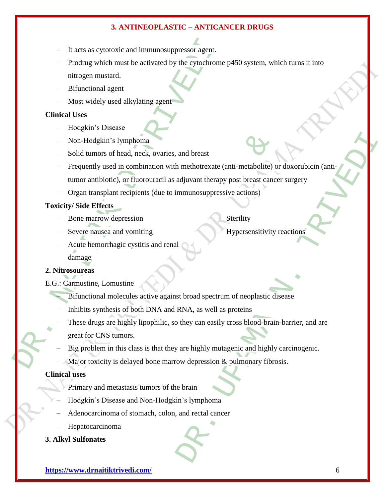- It acts as cytotoxic and immunosuppressor agent.
- It acts as cytotoxic and immunosuppressor agent.<br>
Prodrug which must be activated by the cytochrome<br>
nitrogen mustard.<br>
 Bifunctional agent<br>
 Most widely used alkylating agent<br>
 Most widely used alkylating agent<br>
 Hodg – Prodrug which must be activated by the cytochrome p450 system, which turns it into nitrogen mustard.
	- Bifunctional agent
	- Most widely used alkylating agent

#### **Clinical Uses**

- Hodgkin's Disease
- Non-Hodgkin's lymphoma
- Solid tumors of head, neck, ovaries, and breast
- Solymphoma<br>
Solymphoma<br>
Solymphoma<br>
Solicity, or fluorouracil as adjuvant therapy post breast cance<br>
ant recipients (due to immunosuppressive actions)<br>
Solutions, and vomiting<br>
Solutions, and communosuppressive actions)<br>
S and breast<br>
and breast<br>
in methotrexate (anti-metabolite) or doxorubicin (anti-<br>
adjuvant therapy post breast cancer surgery<br>
mmunosuppressive actions)<br>
Sterility<br>
Breast cancer are expressive to the expressive to the proc – Frequently used in combination with methotrexate (anti-metabolite) or doxorubicin (antitumor antibiotic), or fluorouracil as adjuvant therapy post breast cancer surgery
- Organ transplant recipients (due to immunosuppressive actions)

#### **Toxicity/ Side Effects**

– Bone marrow depression

**Sterility** 

– Severe nausea and vomiting

- Hypersensitivity reactions
- Acute hemorrhagic cystitis and renal damage

#### **2. Nitrosoureas**

- E.G.: Carmustine, Lomustine
	- Bifunctional molecules active against broad spectrum of neoplastic disease
	- Inhibits synthesis of both DNA and RNA, as well as proteins
	- These drugs are highly lipophilic, so they can easily cross blood-brain-barrier, and are
	- great for CNS tumors.
	- Big problem in this class is that they are highly mutagenic and highly carcinogenic.
	- Major toxicity is delayed bone marrow depression  $\&$  pulmonary fibrosis.

#### **Clinical uses**

- Primary and metastasis tumors of the brain
- Hodgkin's Disease and Non-Hodgkin's lymphoma
- Adenocarcinoma of stomach, colon, and rectal cancer
- Hepatocarcinoma

#### **3. Alkyl Sulfonates**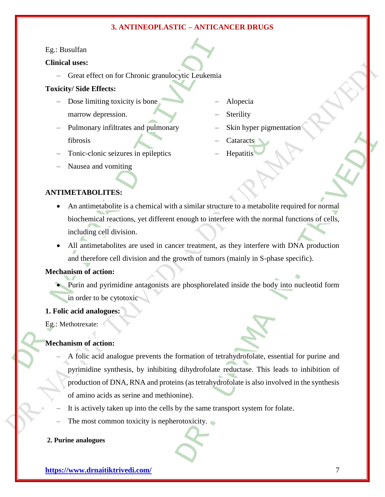#### Eg.: Busulfan

#### **Clinical uses:**

– Great effect on for Chronic granulocytic Leukemia

#### **Toxicity/ Side Effects:**

- Dose limiting toxicity is bone marrow depression.
- Pulmonary infiltrates and pulmonary fibrosis
- Tonic-clonic seizures in epileptics
- Alopecia
- **Sterility**
- Skin hyper pigmentation
- Cataracts **Hepatitis**
- 
- Nausea and vomiting

#### **ANTIMETABOLITES:**

- Eg.: Busulfan<br>
Clinical uses:<br>
 Great effect on for Chronic granulocytic Leukemia<br>
Toxicity/Side Effects:<br>
 Dose limiting toxicity is bone<br>
marrow depression.<br>
 Pulmonary infiltrates and pulmonary<br>
 Toric-clonic seizur • An antimetabolite is a chemical with a similar structure to a metabolite required for normal biochemical reactions, yet different enough to interfere with the normal functions of cells, including cell division.
	- All antimetabolites are used in cancer treatment, as they interfere with DNA production and therefore cell division and the growth of tumors (mainly in S-phase specific).

#### **Mechanism of action:**

 Purin and pyrimidine antagonists are phosphorelated inside the body into nucleotid form in order to be cytotoxic

#### **1. Folic acid analogues:**

Eg.: Methotrexate:

#### **Mechanism of action:**

- Cataracts<br>
Seizures in epileptics<br>
 Hepatitis<br>
Simiting<br>
ES:<br>
Listic is a chemical with a similar structure to a metabolite<br>
eactions, yet different enough to interfere with the normal<br>
division.<br>
olites are used in can - Cataracts<br>
- Hepatitis<br>
- Hepatitis<br>
- Hepatitis<br>
a similar structure to a metabolite required for normal.<br>
mough to interfere with the normal functions of cells,<br>
er treatment, as they interfere with DNA production<br>
row – A folic acid analogue prevents the formation of tetrahydrofolate, essential for purine and pyrimidine synthesis, by inhibiting dihydrofolate reductase. This leads to inhibition of production of DNA, RNA and proteins (as tetrahydrofolate is also involved in the synthesis of amino acids as serine and methionine).
- It is actively taken up into the cells by the same transport system for folate.
- The most common toxicity is nepherotoxicity.

#### **2. Purine analogues**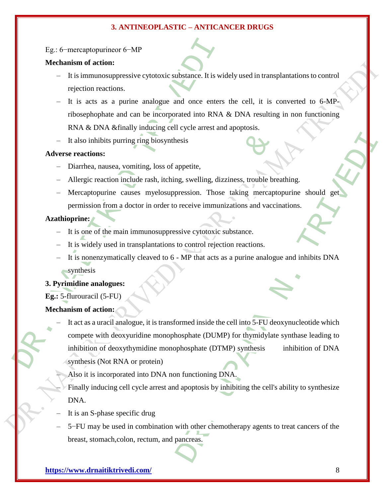#### Eg.: 6−mercaptopurineor 6−MP

#### **Mechanism of action:**

- It is immunosuppressive cytotoxic substance. It is widely used in transplantations to control rejection reactions.
- It is acts as a purine analogue and once enters the cell, it is converted to 6-MPribosephophate and can be incorporated into RNA & DNA resulting in non functioning RNA & DNA & finally inducing cell cycle arrest and apoptosis.
- It also inhibits purring ring biosynthesis

#### **Adverse reactions:**

- Diarrhea, nausea, vomiting, loss of appetite,
- Allergic reaction include rash, itching, swelling, dizziness, trouble breathing.
- Mercaptopurine causes myelosuppression. Those taking mercaptopurine should get permission from a doctor in order to receive immunizations and vaccinations.

#### **Azathioprine:**

- It is one of the main immunosuppressive cytotoxic substance.
- It is widely used in transplantations to control rejection reactions.
- It is nonenzymatically cleaved to 6 MP that acts as a purine analogue and inhibits DNA synthesis

#### **3. Pyrimidine analogues:**

**Eg.:** 5-flurouracil (5-FU)

#### **Mechanism of action:**

- Eg.: 6-mercaptopurincor 6-MP<br>
Mechanism of action:<br>
 It is immunosuppressive cytotoxic substance. It is wive<br>
rejection reactions.<br>
 It is acts as a purine analogue and once enters<br>
ribosephophate and can be incorporate Solution include rash, itching, swelling, dizziness, trouble bread, the metal cash, itching, swelling, dizziness, trouble bread and vaccine causes myelosuppression. Those taking mercapted and according metal of moder in or esis<br>
appetite,<br>
ag, swelling, dizziness, trouble breathing.<br>
receive immunizations and vaccinations.<br>
sive cytotoxic substance.<br>
Let control rejection reactions.<br>
A. MP that acts as a purine analogue and inhibits DNA<br>
DNA – It act as a uracil analogue, it is transformed inside the cell into 5-FU deoxynucleotide which compete with deoxyuridine monophosphate (DUMP) for thymidylate synthase leading to inhibition of deoxythymidine monophosphate (DTMP) synthesis inhibition of DNA synthesis (Not RNA or protein)
	- Also it is incorporated into DNA non functioning DNA.
	- Finally inducing cell cycle arrest and apoptosis by inhibiting the cell's ability to synthesize DNA.
	- It is an S-phase specific drug
	- 5−FU may be used in combination with other chemotherapy agents to treat cancers of the breast, stomach,colon, rectum, and pancreas.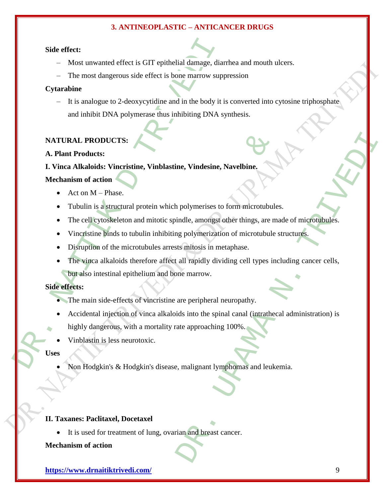#### **Side effect:**

- Most unwanted effect is GIT epithelial damage, diarrhea and mouth ulcers.
- The most dangerous side effect is bone marrow suppression

#### **Cytarabine**

– It is analogue to 2-deoxycytidine and in the body it is converted into cytosine triphosphate and inhibit DNA polymerase thus inhibiting DNA synthesis.

#### **NATURAL PRODUCTS:**

#### **A. Plant Products:**

#### **I. Vinca Alkaloids: Vincristine, Vinblastine, Vindesine, Navelbine.**

#### **Mechanism of action**

- Act on M Phase.
- Tubulin is a structural protein which polymerises to form microtubules.
- The cell cytoskeleton and mitotic spindle, amongst other things, are made of microtubules.
- Vincristine binds to tubulin inhibiting polymerization of microtubule structures.
- Disruption of the microtubules arrests mitosis in metaphase.
- Side effect:<br>
Most unwanted effect is GIT epithelial damage, dia<br>
 The most dangerous side effect is bone marrow supp<br>
Cytarabine<br>
 It is analogue to 2-deoxycytidine and in the body it is<br>
and inhibit DNA polymerase thus ICTS:<br>
Vincristine, Vinblastine, Vindesine, Navelbine,<br>
1<br>
anse.<br>
Iructural protein which polymerises to form microtubule<br>
keleton and mitotic spindle, amongst other things, are may<br>
to tubulin inhibiting polymerization of The Strategies Navellaine.<br>
The Nindesine, Navellaine.<br>
Nelly merises to form microtubules.<br>
Examples to form microtubules.<br>
Examples to the interdependent of microtubule structures.<br>
Similosis in metaphase.<br>
all rapidly d The vinca alkaloids therefore affect all rapidly dividing cell types including cancer cells, but also intestinal epithelium and bone marrow.

#### **Side effects:**

- The main side-effects of vincristine are peripheral neuropathy.
- Accidental injection of vinca alkaloids into the spinal canal (intrathecal administration) is highly dangerous, with a mortality rate approaching 100%.
- Vinblastin is less neurotoxic.

#### **Uses**

Non Hodgkin's & Hodgkin's disease, malignant lymphomas and leukemia.

#### **II. Taxanes: Paclitaxel, Docetaxel**

• It is used for treatment of lung, ovarian and breast cancer.

#### **Mechanism of action**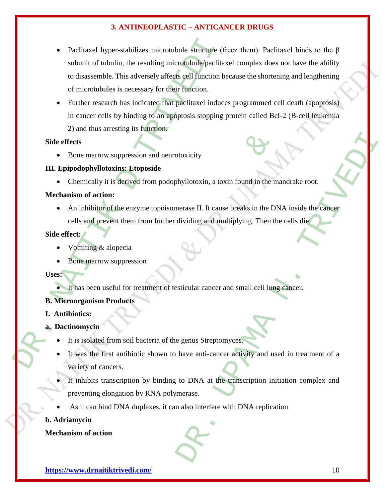- Paclitaxel hyper-stabilizes microtubule smache (for subunit of tubulin, the resulting microtubule/paclitation disassemble. This adversely affects cell function of microtubules is necessary for their function.<br>• Further r Paclitaxel hyper-stabilizes microtubule structure (freez them). Paclitaxel binds to the β subunit of tubulin, the resulting microtubule/paclitaxel complex does not have the ability to disassemble. This adversely affects cell function because the shortening and lengthening of microtubules is necessary for their function.
	- Further research has indicated that paclitaxel induces programmed cell death (apoptosis) in cancer cells by binding to an apoptosis stopping protein called Bcl-2 (B-cell leukemia 2) and thus arresting its function.

#### **Side effects**

• Bone marrow suppression and neurotoxicity

#### **III. Epipodophyllotoxins: Etoposide**

• Chemically it is derived from podophyllotoxin, a toxin found in the mandrake root.

#### **Mechanism of action:**

• An inhibitor of the enzyme topoisomerase II. It cause breaks in the DNA inside the cancer cells and prevent them from further dividing and multiplying. Then the cells die.

#### **Side effect:**

- Vomiting & alopecia
- Bone marrow suppression

**Uses:**

It has been useful for treatment of testicular cancer and small cell lung cancer.

#### **B. Microorganism Products**

**I. Antibiotics:** 

#### **a. Dactinomyci[n](http://en.wikipedia.org/wiki/Image:Actinomycin.png)**

- It is isolated from soil bacteria of the genus Streptomyces.
- It was the first antibiotic shown to have anti-cancer activity and used in treatment of a variety of cancers.
- suppression and neurotoxicity<br>
signifiest is derived from podophyllotoxin, a toxin found in the m<br>
1:<br>
1:<br>
1: It cause breaks in the DN<br>
1:<br>
1:<br>
1: It cause breaks in the DN<br>
1:<br>
1:<br>
1:<br>
1:<br>
1: It cause breaks in the DN<br>
1 Monitor and the manufacture root.<br>
The manufacture of the manufacture root.<br>
The manufacture root.<br>
The manufacture root.<br>
The manufacture control of a strength and multiplying. Then the cells die.<br>
Strength and multiplyin It inhibits transcription by binding to DNA at the transcription initiation complex and preventing elongation by RNA polymerase.
- As it can bind DNA duplexes, it can also interfere with DNA replication

#### **b. Adriamycin**

**Mechanism of action**

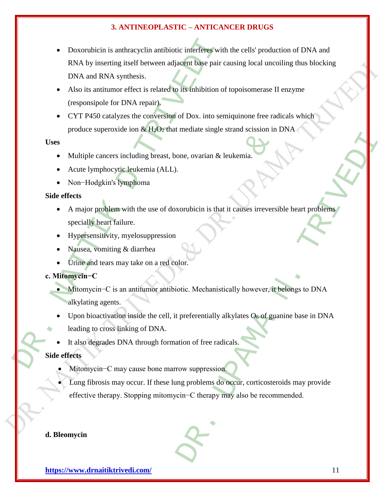- Doxorubicin is anthracyclin antibiotic interferes with<br>
RNA by inserting itself between adjacent base pair c<br>
DNA and RNA synthesis.<br>
 Also its antitumor effect is related to its inhibition of<br>
(responsipole for DNA r Doxorubicin is anthracyclin antibiotic interferes with the cells' production of DNA and RNA by inserting itself between adjacent base pair causing local uncoiling thus blocking DNA and RNA synthesis.
	- Also its antitumor effect is related to its inhibition of topoisomerase II enzyme (responsipole for DNA repair).
	- CYT P450 catalyzes the conversion of Dox. into semiquinone free radicals which produce superoxide ion  $\&$  H<sub>2</sub>O<sub>2</sub> that mediate single strand scission in DNA

**Uses**

- Multiple cancers including breast, bone, ovarian & leukemia.
- Acute lymphocytic leukemia (ALL).
- Non−Hodgkin's lymphoma

#### **Side effects**

- ers including breast, bone, ovarian & leukemia.<br>
Seytic leukemia (ALL).<br>
Seytic leukemia (ALL).<br>
Seytic leukemia (ALL).<br>
Seytic leukemia (ALL).<br>
Sextic leukemia (ALL).<br>
Elem with the use of doxorubicin is that it causes ir one, ovarian & leukemia.<br>
Northicin is that it causes irreversible heart problems<br>
Northicin is that it causes irreversible heart problems<br>
DR.<br>
DR.<br>
DR. DR. DR. DR. DR. PRESERVING AND THE PRESENTING AND THE PRESENTING AND A major problem with the use of doxorubicin is that it causes irreversible heart problems specially heart failure.
- Hypersensitivity, myelosuppression
- Nausea, vomiting & diarrhea
- Urine and tears may take on a red color.

#### **c. Mitomycin−C**

- Mitomycin−C is an antitumor antibiotic. Mechanistically however, it belongs to DNA alkylating agents.
- Upon bioactivation inside the cell, it preferentially alkylates  $O<sub>6</sub>$  of guanine base in DNA
- leading to cross linking of DNA.
- It also degrades DNA through formation of free radicals.

#### **Side effects**

- Mitomycin−C may cause bone marrow suppression.
	- Lung fibrosis may occur. If these lung problems do occur, corticosteroids may provide effective therapy. Stopping mitomycin−C therapy may also be recommended.

#### **d. Bleomycin**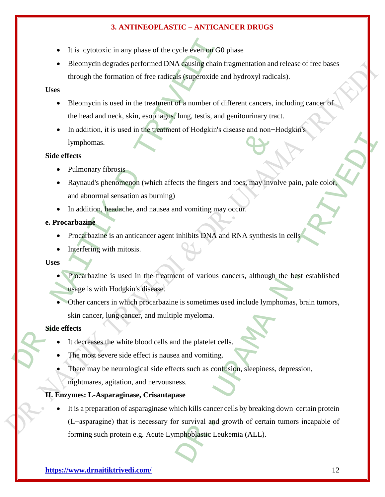- It is cytotoxic in any phase of the cycle even on G0 phase
- Bleomycin degrades performed DNA causing chain fragmentation and release of free bases through the formation of free radicals (superoxide and hydroxyl radicals).

#### **Uses**

- Bleomycin is used in the treatment of a number of different cancers, including cancer of the head and neck, skin, esophagus, lung, testis, and genitourinary tract.
- It is cytotoxic in any phase of the cycle even ron GO<br>
 Bleomycin degrades performed DNA causing chain through the formation of free radicals (superoxide are Uses<br>
 Bleomycin is used in the treatment of a number of di In addition, it is used in the treatment of Hodgkin's disease and non−Hodgkin's lymphomas.

#### **Side effects**

- Pulmonary fibrosis
- From the United States of the States of the States of the States of the States of the States and the States and Tenders and Tenders and Tenders and Tenders and Tenders and Tenders and Tenders and Tenders and Tenders and Te Raynaud's phenomenon (which affects the fingers and toes, may involve pain, pale color, and abnormal sensation as burning)
- In addition, headache, and nausea and vomiting may occur.

#### **e. Procarbazine**

- Procarbazine is an anticancer agent inhibits DNA and RNA synthesis in cells
- Interfering with mitosis.

#### **Uses**

- Procarbazine is used in the treatment of various cancers, although the best established usage is with Hodgkin's disease.
- Other cancers in which procarbazine is sometimes used include lymphomas, brain tumors, skin cancer, lung cancer, and multiple myeloma.

#### **Side effects**

- It decreases the white blood cells and the platelet cells.
- The most severe side effect is nausea and vomiting.
- There may be neurological side effects such as confusion, sleepiness, depression,
	- nightmares, agitation, and nervousness.

#### **II. Enzymes: L-Asparaginase, Crisantapase**

DR. UPAMA N. TRIVEDI It is a preparation of asparaginase which kills cancer cells by breaking down certain protein (L−asparagine) that is necessary for survival and growth of certain tumors incapable of forming such protein e.g. Acute Lymphoblastic Leukemia (ALL).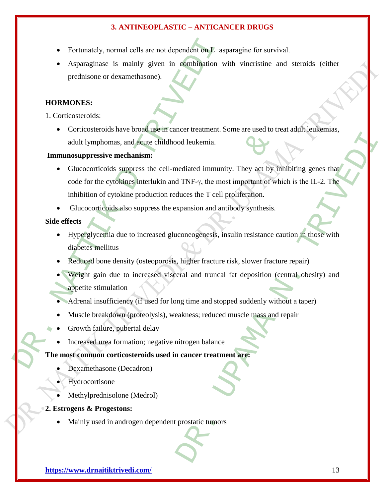- Fortunately, normal cells are not dependent on L−asparagine for survival.
- Asparaginase is mainly given in combination with vincristine and steroids (either prednisone or dexamethasone).

#### **HORMONES:**

1. Corticosteroids:

 Corticosteroids have broad use in cancer treatment. Some are used to treat adult leukemias, adult lymphomas, and acute childhood leukemia.

#### **Immunosuppressive mechanism:**

- Fortunately, normal cells are not dependent on *L*-as<br>
 Asparaginase is mainly given in combination w<br>
prednisone or dexamethasone).<br> **HORMONES:**<br>
 Corticosteroids:<br>
 Corticosteroids have broad use in cancer treatment mas, and acute childhood leukemia.<br>
e mechanism:<br>
ds suppress the cell-mediated immunity. They act by it<br>
ds suppress the cell-mediated immunity. They act by it<br>
dytokine production reduces the T cell proliferation.<br>
ids a od leukemia.<br>
aediated immunity. They act by infinititing genes that<br>
TNF-y, the most important of which is the IL-2. The<br>
duces the T cell proliferation.<br>
xpansion and antibody synthesis.<br>
coneogenesis, insulin resistance Glucocorticoids suppress the cell-mediated immunity. They act by inhibiting genes that code for the cytokines interlukin and TNF-γ, the most important of which is the IL-2. The inhibition of cytokine production reduces the T cell proliferation.
	- Glucocorticoids also suppress the expansion and antibody synthesis.

#### **Side effects**

- Hyperglycemia due to increased gluconeogenesis, insulin resistance caution in those with diabetes mellitus
- Reduced bone density (osteoporosis, higher fracture risk, slower fracture repair)
- Weight gain due to increased visceral and truncal fat deposition (central obesity) and appetite stimulation
- Adrenal insufficiency (if used for long time and stopped suddenly without a taper)
- Muscle breakdown (proteolysis), weakness; reduced muscle mass and repair
- Growth failure, pubertal delay
- Increased urea formation; negative nitrogen balance

#### **The most common corticosteroids used in cancer treatment are:**

- Dexamethasone (Decadron)
- **Hydrocortisone**
- Methylprednisolone (Medrol)
- **2. Estrogens & Progestons:**
	- Mainly used in androgen dependent prostatic tumors